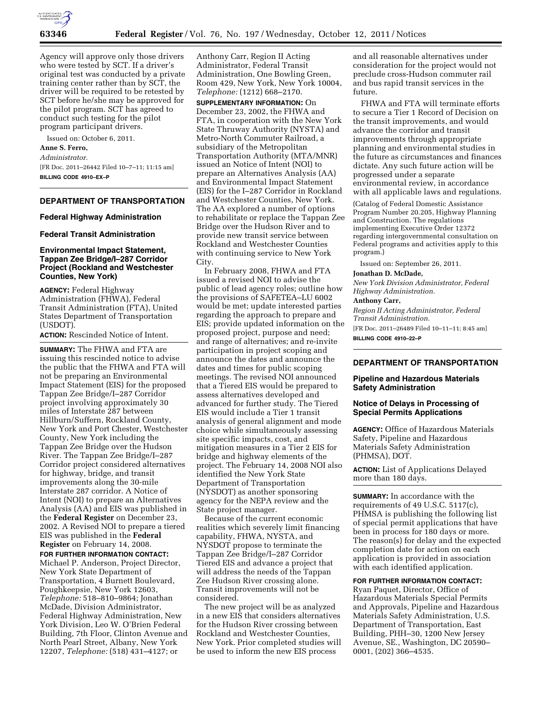

Agency will approve only those drivers who were tested by SCT. If a driver's original test was conducted by a private training center rather than by SCT, the driver will be required to be retested by SCT before he/she may be approved for the pilot program. SCT has agreed to conduct such testing for the pilot program participant drivers.

Issued on: October 6, 2011.

# **Anne S. Ferro,**

*Administrator.* 

[FR Doc. 2011–26442 Filed 10–7–11; 11:15 am] **BILLING CODE 4910–EX–P** 

## **DEPARTMENT OF TRANSPORTATION**

#### **Federal Highway Administration**

## **Federal Transit Administration**

## **Environmental Impact Statement, Tappan Zee Bridge/I–287 Corridor Project (Rockland and Westchester Counties, New York)**

**AGENCY:** Federal Highway Administration (FHWA), Federal Transit Administration (FTA), United States Department of Transportation (USDOT).

**ACTION:** Rescinded Notice of Intent.

**SUMMARY:** The FHWA and FTA are issuing this rescinded notice to advise the public that the FHWA and FTA will not be preparing an Environmental Impact Statement (EIS) for the proposed Tappan Zee Bridge/I–287 Corridor project involving approximately 30 miles of Interstate 287 between Hillburn/Suffern, Rockland County, New York and Port Chester, Westchester County, New York including the Tappan Zee Bridge over the Hudson River. The Tappan Zee Bridge/I–287 Corridor project considered alternatives for highway, bridge, and transit improvements along the 30-mile Interstate 287 corridor. A Notice of Intent (NOI) to prepare an Alternatives Analysis (AA) and EIS was published in the **Federal Register** on December 23, 2002. A Revised NOI to prepare a tiered EIS was published in the **Federal Register** on February 14, 2008.

#### **FOR FURTHER INFORMATION CONTACT:**

Michael P. Anderson, Project Director, New York State Department of Transportation, 4 Burnett Boulevard, Poughkeepsie, New York 12603, *Telephone:* 518–810–9864; Jonathan McDade, Division Administrator, Federal Highway Administration, New York Division, Leo W. O'Brien Federal Building, 7th Floor, Clinton Avenue and North Pearl Street, Albany, New York 12207, *Telephone:* (518) 431–4127; or

Anthony Carr, Region II Acting Administrator, Federal Transit Administration, One Bowling Green, Room 429, New York, New York 10004, *Telephone:* (1212) 668–2170.

**SUPPLEMENTARY INFORMATION:** On December 23, 2002, the FHWA and FTA, in cooperation with the New York State Thruway Authority (NYSTA) and Metro-North Commuter Railroad, a subsidiary of the Metropolitan Transportation Authority (MTA/MNR) issued an Notice of Intent (NOI) to prepare an Alternatives Analysis (AA) and Environmental Impact Statement (EIS) for the I–287 Corridor in Rockland and Westchester Counties, New York. The AA explored a number of options to rehabilitate or replace the Tappan Zee Bridge over the Hudson River and to provide new transit service between Rockland and Westchester Counties with continuing service to New York City.

In February 2008, FHWA and FTA issued a revised NOI to advise the public of lead agency roles; outline how the provisions of SAFETEA–LU 6002 would be met; update interested parties regarding the approach to prepare and EIS; provide updated information on the proposed project, purpose and need; and range of alternatives; and re-invite participation in project scoping and announce the dates and announce the dates and times for public scoping meetings. The revised NOI announced that a Tiered EIS would be prepared to assess alternatives developed and advanced for further study. The Tiered EIS would include a Tier 1 transit analysis of general alignment and mode choice while simultaneously assessing site specific impacts, cost, and mitigation measures in a Tier 2 EIS for bridge and highway elements of the project. The February 14, 2008 NOI also identified the New York State Department of Transportation (NYSDOT) as another sponsoring agency for the NEPA review and the State project manager.

Because of the current economic realities which severely limit financing capability, FHWA, NYSTA, and NYSDOT propose to terminate the Tappan Zee Bridge/I–287 Corridor Tiered EIS and advance a project that will address the needs of the Tappan Zee Hudson River crossing alone. Transit improvements will not be considered.

The new project will be as analyzed in a new EIS that considers alternatives for the Hudson River crossing between Rockland and Westchester Counties, New York. Prior completed studies will be used to inform the new EIS process

and all reasonable alternatives under consideration for the project would not preclude cross-Hudson commuter rail and bus rapid transit services in the future.

FHWA and FTA will terminate efforts to secure a Tier 1 Record of Decision on the transit improvements, and would advance the corridor and transit improvements through appropriate planning and environmental studies in the future as circumstances and finances dictate. Any such future action will be progressed under a separate environmental review, in accordance with all applicable laws and regulations.

(Catalog of Federal Domestic Assistance Program Number 20.205, Highway Planning and Construction. The regulations implementing Executive Order 12372 regarding intergovernmental consultation on Federal programs and activities apply to this program.)

Issued on: September 26, 2011.

# **Jonathan D. McDade,**

*New York Division Administrator, Federal Highway Administration.* 

## **Anthony Carr,**

*Region II Acting Administrator, Federal Transit Administration.* 

[FR Doc. 2011–26489 Filed 10–11–11; 8:45 am] **BILLING CODE 4910–22–P** 

## **DEPARTMENT OF TRANSPORTATION**

## **Pipeline and Hazardous Materials Safety Administration**

## **Notice of Delays in Processing of Special Permits Applications**

**AGENCY:** Office of Hazardous Materials Safety, Pipeline and Hazardous Materials Safety Administration (PHMSA), DOT.

**ACTION:** List of Applications Delayed more than 180 days.

**SUMMARY:** In accordance with the requirements of 49 U.S.C. 5117(c), PHMSA is publishing the following list of special permit applications that have been in process for 180 days or more. The reason(s) for delay and the expected completion date for action on each application is provided in association with each identified application.

## **FOR FURTHER INFORMATION CONTACT:**

Ryan Paquet, Director, Office of Hazardous Materials Special Permits and Approvals, Pipeline and Hazardous Materials Safety Administration, U.S. Department of Transportation, East Building, PHH–30, 1200 New Jersey Avenue, SE., Washington, DC 20590– 0001, (202) 366–4535.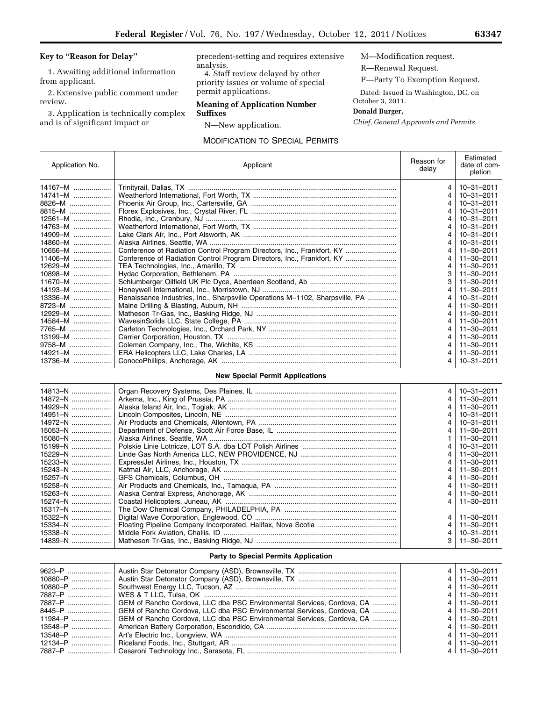# **Key to ''Reason for Delay''**

1. Awaiting additional information from applicant.

2. Extensive public comment under review.

3. Application is technically complex and is of significant impact or

precedent-setting and requires extensive analysis.

4. Staff review delayed by other priority issues or volume of special permit applications.

# **Meaning of Application Number Suffixes**

N—New application.

# MODIFICATION TO SPECIAL PERMITS

M—Modification request. R—Renewal Request.

P—Party To Exemption Request.

Dated: Issued in Washington, DC, on October 3, 2011.

# **Donald Burger,**

*Chief, General Approvals and Permits.* 

| Application No. | Applicant                                                                    | Reason for<br>delav | Estimated<br>date of com-<br>pletion |
|-----------------|------------------------------------------------------------------------------|---------------------|--------------------------------------|
| 14167-M         |                                                                              | 4                   | 10-31-2011                           |
| $14741 - M$     |                                                                              | 4                   | $10 - 31 - 2011$                     |
| 8826-M          |                                                                              | 4                   | $10 - 31 - 2011$                     |
| $8815 - M$      |                                                                              | 4                   | 10-31-2011                           |
| $12561 - M$     |                                                                              | 4                   | $10 - 31 - 2011$                     |
| $14763 - M$     |                                                                              | 4                   | $10 - 31 - 2011$                     |
| 14909-M         |                                                                              | 4                   | $10 - 31 - 2011$                     |
| $14860 - M$     |                                                                              | 4                   | 10-31-2011                           |
| $10656 - M$     | Conference of Radiation Control Program Directors, Inc., Frankfort, KY       | 4                   | $11 - 30 - 2011$                     |
| $11406 - M$     | Conference of Radiation Control Program Directors, Inc., Frankfort, KY       | 4                   | $11 - 30 - 2011$                     |
| 12629-M         |                                                                              | 4                   | $11 - 30 - 2011$                     |
| 10898-M         |                                                                              | 3                   | $11 - 30 - 2011$                     |
| $11670 - M$     |                                                                              | 3                   | $11 - 30 - 2011$                     |
| $14193 - M$     |                                                                              | 4                   | 11-30-2011                           |
| $13336 - M$     | Renaissance Industries, Inc., Sharpsville Operations M-1102, Sharpsville, PA | 4                   | $10 - 31 - 2011$                     |
| $8723 - M$      |                                                                              | 4                   | $11 - 30 - 2011$                     |
| $12929 - M$     |                                                                              | 4                   | $11 - 30 - 2011$                     |
| $14584 - M$     |                                                                              | 4                   | $11 - 30 - 2011$                     |
| 7765-M          |                                                                              | 4                   | 11-30-2011                           |
| 13199-M         |                                                                              | 4                   | $11 - 30 - 2011$                     |
| $9758 - M$      |                                                                              | 4                   | $11 - 30 - 2011$                     |
| $14921 - M$     |                                                                              | 4                   | $11 - 30 - 2011$                     |
| $13736 - M$     |                                                                              | 4                   | 10-31-2011                           |

## **New Special Permit Applications**

| $14813 - N$ | 4 | 10-31-2011       |
|-------------|---|------------------|
| 14872-N     | 4 | $11 - 30 - 2011$ |
| 14929-N     | 4 | $11 - 30 - 2011$ |
| 14951-N     | 4 | $10 - 31 - 2011$ |
| 14972-N     | 4 | $10 - 31 - 2011$ |
| $15053 - N$ |   | $11 - 30 - 2011$ |
| $15080 - N$ |   | $11 - 30 - 2011$ |
| 15199-N     |   | $10 - 31 - 2011$ |
| 15229-N     |   | $11 - 30 - 2011$ |
| 15233-N     |   | $11 - 30 - 2011$ |
| $15243 - N$ |   | $11 - 30 - 2011$ |
| 15257-N     |   | $11 - 30 - 2011$ |
| 15258-N     | 4 | $11 - 30 - 2011$ |
| $15263 - N$ | 4 | $11 - 30 - 2011$ |
| 15274-N     | 4 | $11 - 30 - 2011$ |
| 15317-N     |   |                  |
| 15322-N     | 4 | $11 - 30 - 2011$ |
| $15334 - N$ |   | $11 - 30 - 2011$ |
| $15338 - N$ | 4 | $10 - 31 - 2011$ |
| 14839-N     | 3 | $11 - 30 - 2011$ |

## **Party to Special Permits Application**

|                                                                                   | $4$   11-30-2011        |
|-----------------------------------------------------------------------------------|-------------------------|
|                                                                                   | $4$   11-30-2011        |
|                                                                                   | $4$   11-30-2011        |
|                                                                                   | $4$   11-30-2011        |
| 7887–P    GEM of Rancho Cordova, LLC dba PSC Environmental Services, Cordova, CA  | 4 11 - 30 - 2011        |
| 8445–P  GEM of Rancho Cordova, LLC dba PSC Environmental Services, Cordova, CA    | $4 11 - 30 - 2011$      |
| 11984–P    GEM of Rancho Cordova, LLC dba PSC Environmental Services, Cordova, CA | $4 \mid 11 - 30 - 2011$ |
|                                                                                   | $4$   11-30-2011        |
|                                                                                   | $4 11 - 30 - 2011$      |
|                                                                                   | $4$   11-30-2011        |
|                                                                                   | $4 11 - 30 - 2011$      |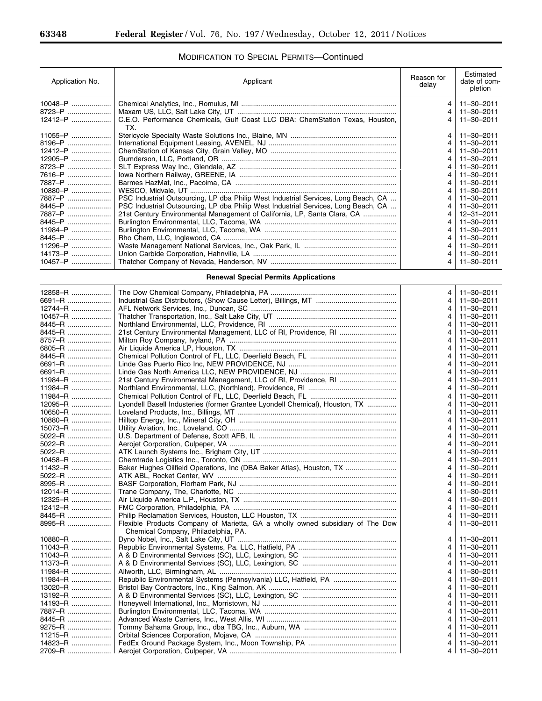۳

# MODIFICATION TO SPECIAL PERMITS—Continued

| Application No. | Applicant                                                                            | Reason for<br>delay | Estimated<br>date of com-<br>pletion |
|-----------------|--------------------------------------------------------------------------------------|---------------------|--------------------------------------|
| 10048-P         |                                                                                      | 4                   | $11 - 30 - 2011$                     |
| 8723-P          |                                                                                      | $\overline{4}$      | $11 - 30 - 2011$                     |
| 12412-P         | C.E.O. Performance Chemicals, Gulf Coast LLC DBA: ChemStation Texas, Houston,<br>TX. | 4                   | $11 - 30 - 2011$                     |
| 11055-P         |                                                                                      | 4                   | 11-30-2011                           |
| $8196 - P$      |                                                                                      | 4                   | $11 - 30 - 2011$                     |
| $12412 - P$     |                                                                                      | 4                   | $11 - 30 - 2011$                     |
| $12905 - P$     |                                                                                      | 4                   | $11 - 30 - 2011$                     |
| 8723–P          |                                                                                      | 4                   | $11 - 30 - 2011$                     |
| 7616–P          |                                                                                      | 4                   | $11 - 30 - 2011$                     |
| 7887-P          |                                                                                      | 4                   | $11 - 30 - 2011$                     |
| $10880 - P$     |                                                                                      | 4                   | $11 - 30 - 2011$                     |
| 7887-P          | PSC Industrial Outsourcing, LP dba Philip West Industrial Services, Long Beach, CA   | 4                   | $11 - 30 - 2011$                     |
| 8445–P          | PSC Industrial Outsourcing, LP dba Philip West Industrial Services, Long Beach, CA   | 4                   | $11 - 30 - 2011$                     |
| 7887-P          | 21st Century Environmental Management of California, LP, Santa Clara, CA             | 4                   | $12 - 31 - 2011$                     |
| 8445–P          |                                                                                      | 4                   | $11 - 30 - 2011$                     |
| 11984-P         |                                                                                      | 4                   | $11 - 30 - 2011$                     |
| 8445–P          |                                                                                      | 4                   | $11 - 30 - 2011$                     |
| $11296 - P$     |                                                                                      | 4                   | $11 - 30 - 2011$                     |
| 14173–P         |                                                                                      | 4                   | $11 - 30 - 2011$                     |
| $10457 - P$     |                                                                                      | 4                   | $11 - 30 - 2011$                     |

**Renewal Special Permits Applications** 

| 12858-R     |                                                                                | 4 | $11 - 30 - 2011$ |
|-------------|--------------------------------------------------------------------------------|---|------------------|
| 6691-R      |                                                                                | 4 | $11 - 30 - 2011$ |
| $12744 - R$ |                                                                                | 4 | 11-30-2011       |
| 10457-R     |                                                                                | 4 | $11 - 30 - 2011$ |
| 8445–R      |                                                                                | 4 | $11 - 30 - 2011$ |
| 8445-R      |                                                                                | 4 | $11 - 30 - 2011$ |
| 8757-R      |                                                                                | 4 | $11 - 30 - 2011$ |
| 6805-R      |                                                                                | 4 | $11 - 30 - 2011$ |
| 8445–R      |                                                                                | 4 | $11 - 30 - 2011$ |
| 6691-R      |                                                                                | 4 | $11 - 30 - 2011$ |
| 6691-R      |                                                                                | 4 | $11 - 30 - 2011$ |
| $11984 - R$ |                                                                                | 4 | $11 - 30 - 2011$ |
| 11984-R     |                                                                                | 4 | $11 - 30 - 2011$ |
| 11984-R     |                                                                                | 4 | $11 - 30 - 2011$ |
| $12095 - R$ | Lyondell Basell Industeries (former Grantee Lyondell Chemical), Houston, TX    | 4 | $11 - 30 - 2011$ |
| 10650-R     |                                                                                | 4 | $11 - 30 - 2011$ |
| 10880-R     |                                                                                | 4 | $11 - 30 - 2011$ |
| $15073 - R$ |                                                                                | 4 | $11 - 30 - 2011$ |
| 5022-R      |                                                                                | 4 | $11 - 30 - 2011$ |
| 5022-R      |                                                                                | 4 | $11 - 30 - 2011$ |
| $5022 - R$  |                                                                                | 4 | $11 - 30 - 2011$ |
| $10458 - R$ |                                                                                | 4 | $11 - 30 - 2011$ |
| 11432-R     | Baker Hughes Oilfield Operations, Inc (DBA Baker Atlas), Houston, TX           | 4 | $11 - 30 - 2011$ |
| 5022-R      |                                                                                | 4 | $11 - 30 - 2011$ |
| 8995-R      |                                                                                | 4 | $11 - 30 - 2011$ |
| 12014-R     |                                                                                | 4 | $11 - 30 - 2011$ |
| 12325-R     |                                                                                | 4 | $11 - 30 - 2011$ |
| 12412-R     |                                                                                | 4 | $11 - 30 - 2011$ |
| 8445–R      |                                                                                | 4 | $11 - 30 - 2011$ |
| $8995 - R$  | Flexible Products Company of Marietta, GA a wholly owned subsidiary of The Dow | 4 | $11 - 30 - 2011$ |
|             | Chemical Company, Philadelphia, PA.                                            |   |                  |
| 10880-R     |                                                                                | 4 | $11 - 30 - 2011$ |
| 11043-R     |                                                                                | 4 | $11 - 30 - 2011$ |
| 11043-R     |                                                                                | 4 | $11 - 30 - 2011$ |
| $11373 - R$ |                                                                                | 4 | $11 - 30 - 2011$ |
| 11984-R     |                                                                                | 4 | $11 - 30 - 2011$ |
| 11984-R     |                                                                                | 4 | $11 - 30 - 2011$ |
| $13020 - R$ |                                                                                | 4 | $11 - 30 - 2011$ |
| $13192 - R$ |                                                                                | 4 | $11 - 30 - 2011$ |
| 14193-R     |                                                                                | 4 | $11 - 30 - 2011$ |
| 7887-R      |                                                                                | 4 | $11 - 30 - 2011$ |
| 8445–R      |                                                                                | 4 | $11 - 30 - 2011$ |
| 9275–R      |                                                                                | 4 | $11 - 30 - 2011$ |
| $11215 - R$ |                                                                                | 4 | $11 - 30 - 2011$ |
| 14823–R     |                                                                                | 4 | $11 - 30 - 2011$ |
| 2709-R      |                                                                                |   | 4   11-30-2011   |
|             |                                                                                |   |                  |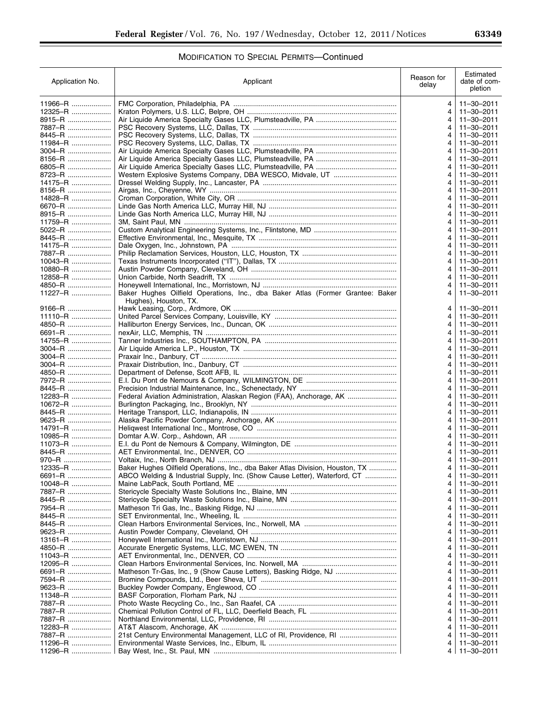# MODIFICATION TO SPECIAL PERMITS—Continued

| Application No.          | Applicant                                                                      | Reason for<br>delay | Estimated<br>date of com-<br>pletion |
|--------------------------|--------------------------------------------------------------------------------|---------------------|--------------------------------------|
| 11966-R                  |                                                                                | 4                   | 11-30-2011                           |
| 12325-R                  |                                                                                | 4                   | 11-30-2011                           |
| 8915–R                   |                                                                                | 4                   | 11-30-2011                           |
| 7887–R …………………           |                                                                                | 4                   | $11 - 30 - 2011$                     |
| 8445–R                   |                                                                                | 4                   | 11-30-2011                           |
| 11984-R                  |                                                                                | 4                   | $11 - 30 - 2011$                     |
| 3004–R                   |                                                                                | 4                   | 11-30-2011<br>11-30-2011             |
| 8156–R …………………<br>6805-R |                                                                                | 4<br>4              | $11 - 30 - 2011$                     |
| 8723-R                   |                                                                                | 4                   | $11 - 30 - 2011$                     |
| 14175–R                  |                                                                                | 4                   | $11 - 30 - 2011$                     |
| $8156 - R$               |                                                                                | 4                   | $11 - 30 - 2011$                     |
| 14828-R                  |                                                                                | 4                   | $11 - 30 - 2011$                     |
| 6670-R                   |                                                                                | 4                   | $11 - 30 - 2011$                     |
| 8915–R                   |                                                                                | 4                   | $11 - 30 - 2011$                     |
| 11759-R                  |                                                                                | 4                   | 11-30-2011                           |
| 5022-R                   |                                                                                | 4                   | $11 - 30 - 2011$                     |
| 8445-R                   |                                                                                | 4                   | $11 - 30 - 2011$                     |
| 14175-R                  |                                                                                | 4                   | 11-30-2011                           |
| 7887–R …………………           |                                                                                | 4                   | 11-30-2011                           |
| 10043-R                  |                                                                                | 4                   | $11 - 30 - 2011$                     |
| $10880 - R$              |                                                                                | 4                   | $11 - 30 - 2011$                     |
| $12858 - R$              |                                                                                | 4                   | $11 - 30 - 2011$                     |
| 4850-R                   |                                                                                | 4                   | $11 - 30 - 2011$                     |
| 11227-R                  | Baker Hughes Oilfield Operations, Inc., dba Baker Atlas (Former Grantee: Baker | 4                   | $11 - 30 - 2011$                     |
| 9166–R                   | Hughes), Houston, TX.                                                          |                     |                                      |
| $11110 - R$              |                                                                                | 4<br>4              | 11-30-2011<br>11-30-2011             |
| 4850-R                   |                                                                                | 4                   | $11 - 30 - 2011$                     |
| 6691-R                   |                                                                                | 4                   | 11-30-2011                           |
| 14755-R                  |                                                                                | 4                   | $11 - 30 - 2011$                     |
| 3004–R                   |                                                                                | 4                   | 11-30-2011                           |
| 3004–R                   |                                                                                | 4                   | $11 - 30 - 2011$                     |
| 3004–R                   |                                                                                | 4                   | $11 - 30 - 2011$                     |
| 4850-R                   |                                                                                | 4                   | $11 - 30 - 2011$                     |
| 7972-R                   |                                                                                | 4                   | 11-30-2011                           |
| 8445–R                   |                                                                                | 4                   | $11 - 30 - 2011$                     |
| $12283 - R$              | Federal Aviation Administration, Alaskan Region (FAA), Anchorage, AK           | 4                   | 11-30-2011                           |
| 10672-R                  |                                                                                | 4                   | $11 - 30 - 2011$                     |
| 8445–R                   |                                                                                | 4                   | $11 - 30 - 2011$                     |
| 9623–R                   |                                                                                | 4                   | $11 - 30 - 2011$                     |
| 14791-R                  |                                                                                | 4                   | $11 - 30 - 2011$                     |
| 10985-R                  |                                                                                | 4                   | $11 - 30 - 2011$                     |
| $11073 - R$<br>8445–R    |                                                                                | 4                   | $11 - 30 - 2011$<br>$11 - 30 - 2011$ |
| 970–R                    |                                                                                | 4<br>4              | $11 - 30 - 2011$                     |
| 12335-R                  | Baker Hughes Oilfield Operations, Inc., dba Baker Atlas Division, Houston, TX  | 4                   | 11-30-2011                           |
| 6691-R                   | ABCO Welding & Industrial Supply, Inc. (Show Cause Letter), Waterford, CT      | 4                   | $11 - 30 - 2011$                     |
| 10048-R                  |                                                                                | 4                   | $11 - 30 - 2011$                     |
| 7887-R                   |                                                                                | 4                   | 11-30-2011                           |
| 8445–R                   |                                                                                | 4                   | 11-30-2011                           |
| 7954-R                   |                                                                                | 4                   | 11-30-2011                           |
| 8445–R                   |                                                                                | 4                   | 11-30-2011                           |
| 8445–R                   |                                                                                | 4                   | 11-30-2011                           |
| 9623-R                   |                                                                                | 4                   | 11-30-2011                           |
| 13161-R                  |                                                                                | 4                   | 11-30-2011                           |
| 4850-R                   |                                                                                | 4                   | 11-30-2011                           |
| 11043-R                  |                                                                                | 4                   | 11-30-2011                           |
| 12095-R                  |                                                                                | 4                   | 11-30-2011                           |
| 6691-R                   |                                                                                | 4                   | 11-30-2011                           |
| 7594-R                   |                                                                                | 4                   | 11-30-2011                           |
| 9623–R …………………           |                                                                                | 4                   | 11-30-2011                           |
| 11348-R<br>7887-R        |                                                                                | 4<br>4              | 11-30-2011<br>11-30-2011             |
| 7887-R                   |                                                                                | 4                   | 11-30-2011                           |
| 7887–R                   |                                                                                | 4                   | 11-30-2011                           |
| 12283-R                  |                                                                                | 4                   | 11-30-2011                           |
| 7887-R                   |                                                                                | 4                   | 11-30-2011                           |
| 11296-R                  |                                                                                | 4                   | $11 - 30 - 2011$                     |
| 11296-R                  |                                                                                | 4                   | 11-30-2011                           |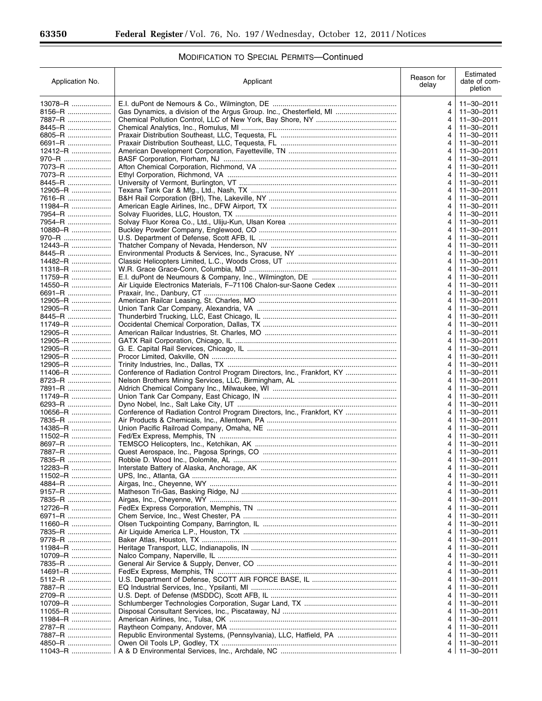۳

| Application No.           | Applicant                                                              | Reason for<br>delay | Estimated<br>date of com-<br>pletion |
|---------------------------|------------------------------------------------------------------------|---------------------|--------------------------------------|
| $13078 - R$               |                                                                        | 4                   | 11-30-2011                           |
| 8156–R …………………            | Gas Dynamics, a division of the Argus Group. Inc., Chesterfield, MI    | 4                   | 11-30-2011                           |
| 7887-R                    |                                                                        | 4                   | $11 - 30 - 2011$                     |
| 8445–R                    |                                                                        | 4                   | 11-30-2011                           |
| 6805-R<br>6691-R          |                                                                        | 4                   | 11-30-2011<br>$11 - 30 - 2011$       |
| 12412-R                   |                                                                        | 4                   | 11-30-2011                           |
| 970–R                     |                                                                        | 4                   | 11-30-2011                           |
| 7073-R                    |                                                                        | 4                   | $11 - 30 - 2011$                     |
| 7073–R                    |                                                                        | 4                   | $11 - 30 - 2011$                     |
| 8445-R                    |                                                                        |                     | $11 - 30 - 2011$                     |
| $12905 - R$               |                                                                        | 4                   | $11 - 30 - 2011$                     |
| 7616–R …………………            |                                                                        | 4                   | $11 - 30 - 2011$                     |
| 11984-R                   |                                                                        |                     | $11 - 30 - 2011$                     |
| 7954–R                    |                                                                        | 4                   | 11-30-2011                           |
| 7954–R …………………<br>10880-R |                                                                        | 4<br>4              | 11-30-2011<br>$11 - 30 - 2011$       |
| 970–R                     |                                                                        |                     | $11 - 30 - 2011$                     |
| 12443-R                   |                                                                        | 4                   | 11-30-2011                           |
| 8445–R …………………            |                                                                        | 4                   | 11-30-2011                           |
| 14482-R                   |                                                                        | 4                   | $11 - 30 - 2011$                     |
| 11318-R                   |                                                                        | 4                   | 11-30-2011                           |
| 11759-R                   |                                                                        | 4                   | 11-30-2011                           |
| 14550-R                   | Air Liquide Electronics Materials, F-71106 Chalon-sur-Saone Cedex      |                     | $11 - 30 - 2011$                     |
| 6691-R                    |                                                                        | 4                   | $11 - 30 - 2011$                     |
| 12905-R                   |                                                                        |                     | 11-30-2011                           |
| 12905-R                   |                                                                        | 4                   | 11-30-2011                           |
| 8445–R                    |                                                                        |                     | 11-30-2011                           |
| 11749-R                   |                                                                        |                     | 11-30-2011                           |
| 12905-R                   |                                                                        |                     | 11-30-2011                           |
| 12905-R                   |                                                                        | 4                   | 11-30-2011                           |
| 12905-R                   |                                                                        |                     | 11-30-2011                           |
| 12905-R                   |                                                                        | 4                   | $11 - 30 - 2011$                     |
| 12905-R<br>11406-R        | Conference of Radiation Control Program Directors, Inc., Frankfort, KY |                     | 11-30-2011<br>11-30-2011             |
| 8723–R                    |                                                                        | 4                   | 11-30-2011                           |
| 7891–R …………………            |                                                                        |                     | 11-30-2011                           |
| 11749-R                   |                                                                        |                     | 11-30-2011                           |
| 6293-R                    |                                                                        | 4                   | 11-30-2011                           |
| 10656-R                   | Conference of Radiation Control Program Directors, Inc., Frankfort, KY |                     | 11-30-2011                           |
| 7835–R                    |                                                                        |                     | 11-30-2011                           |
| 14385-R                   |                                                                        |                     | 11-30-2011                           |
| 11502-R                   |                                                                        |                     | 11-30-2011                           |
| 8697-R                    |                                                                        |                     | 11-30-2011                           |
| 7887-R                    |                                                                        | 4                   | 11-30-2011                           |
| 7835-R<br>.               |                                                                        |                     | $11 - 30 - 2011$                     |
| 12283-R                   |                                                                        |                     | 11-30-2011                           |
| 11502-R                   |                                                                        |                     | 11-30-2011                           |
| 4884–R                    |                                                                        |                     | 11-30-2011                           |
| 9157–R …………………            |                                                                        |                     | 11-30-2011                           |
| 7835–R                    |                                                                        |                     | 11-30-2011                           |
| 12726-R<br>6971–R ………………… |                                                                        |                     | 11-30-2011<br>11-30-2011             |
| 11660-R                   |                                                                        |                     | 11-30-2011                           |
| 7835–R …………………            |                                                                        |                     | 11-30-2011                           |
| 9778–R …………………            |                                                                        |                     | 11-30-2011                           |
| 11984-R                   |                                                                        |                     | 11-30-2011                           |
| 10709-R                   |                                                                        |                     | 11-30-2011                           |
| 7835-R                    |                                                                        |                     | 11-30-2011                           |
| 14691-R                   |                                                                        |                     | 11-30-2011                           |
| 5112–R …………………            |                                                                        |                     | 11-30-2011                           |
| 7887–R                    |                                                                        |                     | 11-30-2011                           |
| 2709–R …………………            |                                                                        |                     | 11-30-2011                           |
| 10709-R                   |                                                                        |                     | 11-30-2011                           |
| 11055-R                   |                                                                        |                     | 11-30-2011                           |
| 11984–R                   |                                                                        |                     | 11-30-2011                           |
| 2787–R …………………            |                                                                        | 4                   | 11-30-2011                           |
| 7887–R                    | Republic Environmental Systems, (Pennsylvania), LLC, Hatfield, PA      |                     | 11-30-2011                           |
| 4850-R<br>11043-R         |                                                                        | 4<br>4              | 11-30-2011<br>11-30-2011             |
|                           |                                                                        |                     |                                      |

# MODIFICATION TO SPECIAL PERMITS—Continued